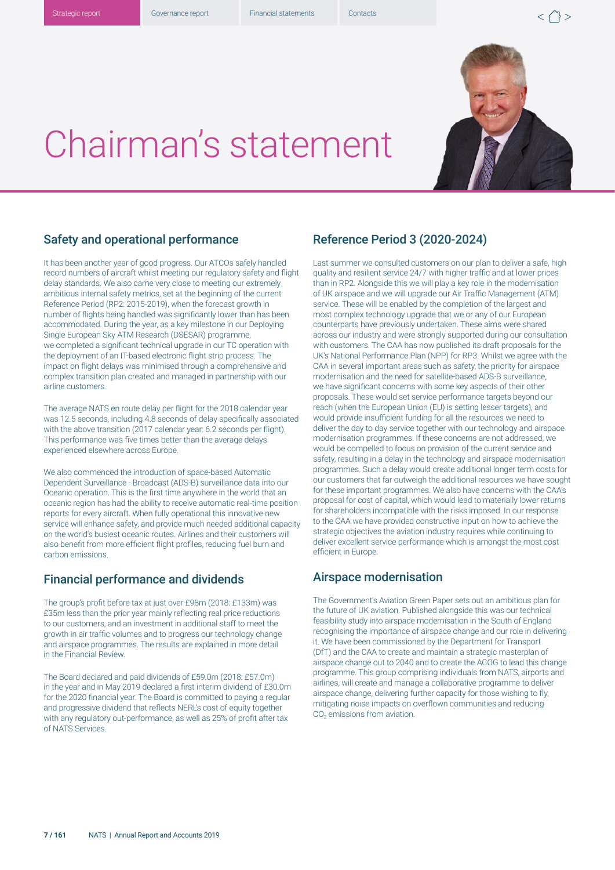



# Chairman's statement

## Safety and operational performance

It has been another year of good progress. Our ATCOs safely handled record numbers of aircraft whilst meeting our regulatory safety and flight delay standards. We also came very close to meeting our extremely ambitious internal safety metrics, set at the beginning of the current Reference Period (RP2: 2015-2019), when the forecast growth in number of flights being handled was significantly lower than has been accommodated. During the year, as a key milestone in our Deploying Single European Sky ATM Research (DSESAR) programme, we completed a significant technical upgrade in our TC operation with the deployment of an IT-based electronic flight strip process. The impact on flight delays was minimised through a comprehensive and complex transition plan created and managed in partnership with our airline customers.

The average NATS en route delay per flight for the 2018 calendar year was 12.5 seconds, including 4.8 seconds of delay specifically associated with the above transition (2017 calendar year: 6.2 seconds per flight). This performance was five times better than the average delays experienced elsewhere across Europe.

We also commenced the introduction of space-based Automatic Dependent Surveillance - Broadcast (ADS-B) surveillance data into our Oceanic operation. This is the first time anywhere in the world that an oceanic region has had the ability to receive automatic real-time position reports for every aircraft. When fully operational this innovative new service will enhance safety, and provide much needed additional capacity on the world's busiest oceanic routes. Airlines and their customers will also benefit from more efficient flight profiles, reducing fuel burn and carbon emissions.

## Financial performance and dividends

The group's profit before tax at just over £98m (2018: £133m) was £35m less than the prior year mainly reflecting real price reductions to our customers, and an investment in additional staff to meet the growth in air traffic volumes and to progress our technology change and airspace programmes. The results are explained in more detail in the Financial Review.

The Board declared and paid dividends of £59.0m (2018: £57.0m) in the year and in May 2019 declared a first interim dividend of £30.0m for the 2020 financial year. The Board is committed to paying a regular and progressive dividend that reflects NERL's cost of equity together with any regulatory out-performance, as well as 25% of profit after tax of NATS Services.

# Reference Period 3 (2020-2024)

Last summer we consulted customers on our plan to deliver a safe, high quality and resilient service 24/7 with higher traffic and at lower prices than in RP2. Alongside this we will play a key role in the modernisation of UK airspace and we will upgrade our Air Traffic Management (ATM) service. These will be enabled by the completion of the largest and most complex technology upgrade that we or any of our European counterparts have previously undertaken. These aims were shared across our industry and were strongly supported during our consultation with customers. The CAA has now published its draft proposals for the UK's National Performance Plan (NPP) for RP3. Whilst we agree with the CAA in several important areas such as safety, the priority for airspace modernisation and the need for satellite-based ADS-B surveillance, we have significant concerns with some key aspects of their other proposals. These would set service performance targets beyond our reach (when the European Union (EU) is setting lesser targets), and would provide insufficient funding for all the resources we need to deliver the day to day service together with our technology and airspace modernisation programmes. If these concerns are not addressed, we would be compelled to focus on provision of the current service and safety, resulting in a delay in the technology and airspace modernisation programmes. Such a delay would create additional longer term costs for our customers that far outweigh the additional resources we have sought for these important programmes. We also have concerns with the CAA's proposal for cost of capital, which would lead to materially lower returns for shareholders incompatible with the risks imposed. In our response to the CAA we have provided constructive input on how to achieve the strategic objectives the aviation industry requires while continuing to deliver excellent service performance which is amongst the most cost efficient in Europe.

### Airspace modernisation

The Government's Aviation Green Paper sets out an ambitious plan for the future of UK aviation. Published alongside this was our technical feasibility study into airspace modernisation in the South of England recognising the importance of airspace change and our role in delivering it. We have been commissioned by the Department for Transport (DfT) and the CAA to create and maintain a strategic masterplan of airspace change out to 2040 and to create the ACOG to lead this change programme. This group comprising individuals from NATS, airports and airlines, will create and manage a collaborative programme to deliver airspace change, delivering further capacity for those wishing to fly, mitigating noise impacts on overflown communities and reducing CO<sub>2</sub> emissions from aviation.